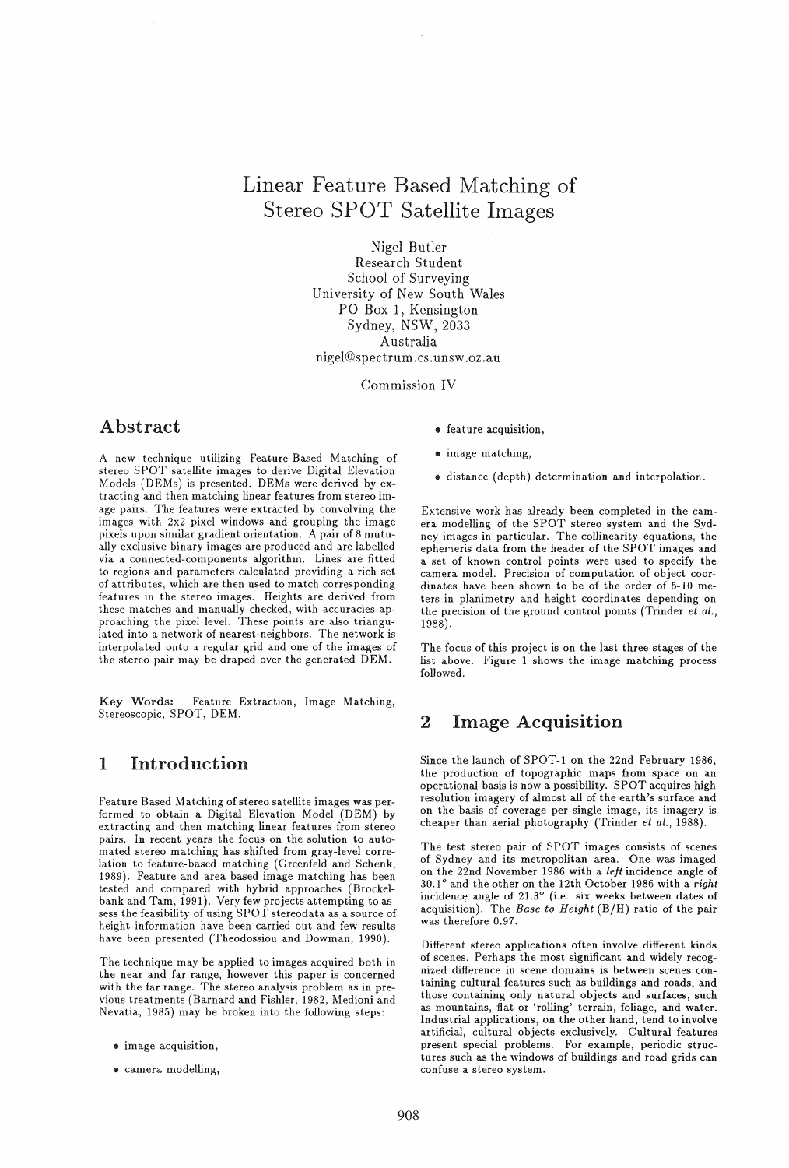# Linear Feature Based Matching of Stereo SPOT Satellite Images

Nigel Butler Research Student School of Surveying University of New South Wales PO Box 1, Kensington Sydney, NSW, 2033 Australia nigel@spectrum.cs.unsw.oz.au

Commission IV

## Abstract

A new technique utilizing Feature-Based Matching of stereo SPOT satellite images to derive Digital Elevation Models (DEMs) is presented. DEMs were derived byextracting and then matching linear features from stereo image pairs. The features were extracted by convolving the images with 2x2 pixel windows and grouping the image pixels upon similar gradient orientation. A pair of 8 mutually exclusive binary images are produced and are labelled via a connected-components algorithm. Lines are fitted to regions and parameters calculated providing a rich set of attributes, which are then used to match corresponding features in the stereo images. Heights are derived from these matches and manually checked, with accuracies approaching the pixel level. These points are also triangulated into a network of nearest-neighbors. The network is interpolated onto a regular grid and one of the images of the stereo pair may be draped over the generated DEM.

Key Words: Feature Extraction, Image Matching, Stereoscopic, SPOT, DEM.

## 1 Introduction

Feature Based Matching of stereo satellite images was performed to obtain a Digital Elevation Model (DEM) by extracting and then matching linear features from stereo pairs. In recent years the focus on the solution to automated stereo matching has shifted from gray-level correlation to feature-based matching (Greenfeld and Schenk, 1989). Feature and area based image matching has been tested and compared with hybrid approaches (Brockelbank and Tam, 1991). Very few projects attempting to assess the feasibility of using SPOT stereodata as a source of height information have been carried out and few results have been presented (Theodossiou and Dowman, 1990).

The technique may be applied to images acquired both in the near and far range, however this paper is concerned with the far range. The stereo analysis problem as in previous treatments (Barnard and Fishier, 1982, Medioni and Nevatia, 1985) may be broken into the following steps:

- $\bullet$  image acquisition,
- .. camera modelling,
- $\bullet$  feature acquisition,
- image matching,
- distance (depth) determination and interpolation.

Extensive work has already been completed in the camera modelling of the SPOT stereo system and the Sydney images in particular. The collinearity equations, the epherieris data from the header of the SPOT images and a set of known control points were used to specify the camera model. Precision of computation of object coordinates have been shown to be of the order of 5-10 meters in planimetry and height coordinates depending on the precision of the ground control points (Trinder *et al.,*  1988) .

The focus of this project is on the last three stages of the list above. Figure 1 shows the image matching process followed.

# 2 Image Acquisition

Since the launch of SPOT-1 on the 22nd February 1986, the production of topographic maps from space on an operational basis is now a possibility. SPOT acquires high resolution imagery of almost all of the earth's surface and on the basis of coverage per single image, its imagery is cheaper than aerial photography (Trinder *et al., 1988).* 

The test stereo pair of SPOT images consists of scenes of Sydney and its metropolitan area. One was imaged on the 22nd November 1986 with a *left* incidence angle of *30.10* and the other on the 12th October 1986 with a *right*  incidence angle of *21.30* (i.e. six weeks between dates of acquisition). The *Base to Height* (B/H) ratio of the pair was therefore 0.97.

Different stereo applications often involve different kinds of scenes. Perhaps the most significant and widely recognized difference in scene domains is between scenes containing cultural features such as buildings and roads, and those containing only natural objects and surfaces, such as mountains, flat or 'rolling' terrain, foliage, and water. Industrial applications, on the other hand, tend to involve artificial, cultural objects exclusively. Cultural features present special problems. For example, periodic structures such as the windows of buildings and road grids can confuse a stereo system.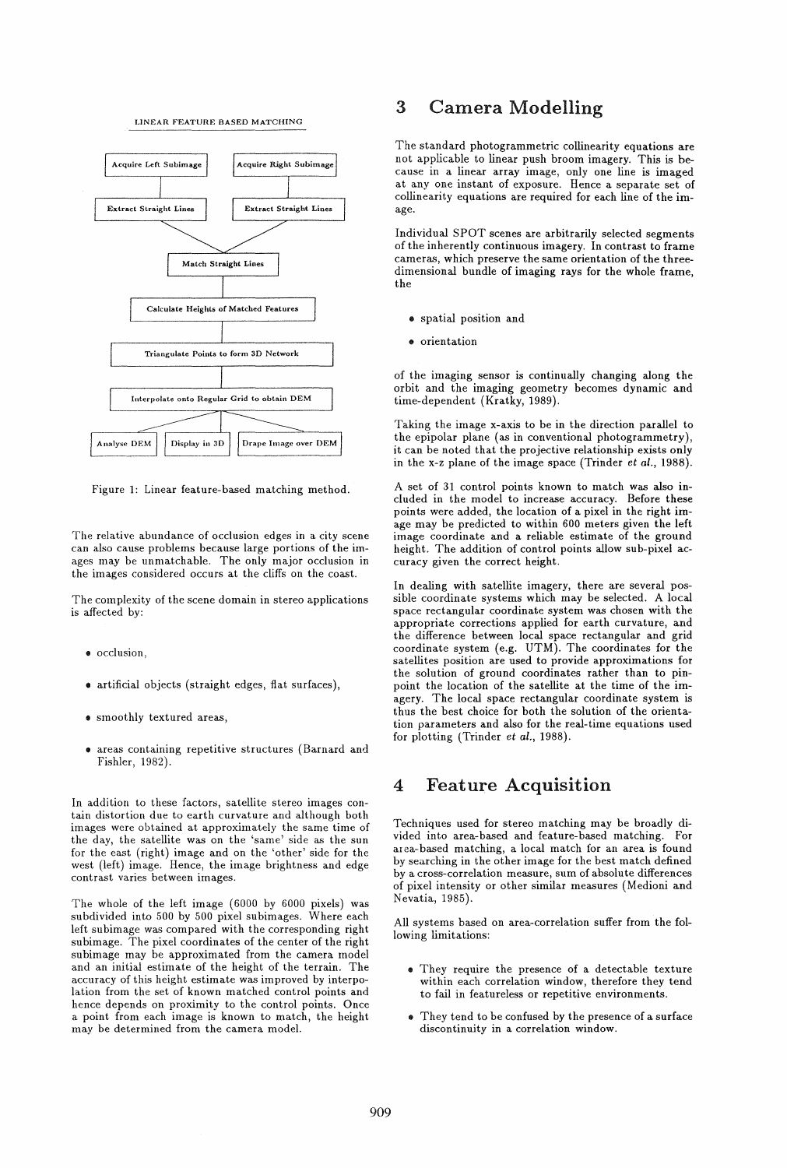#### LINEAR FEATURE BASED MATCHING



Figure 1: Linear feature-based matching method.

The relative abundance of occlusion edges in a city scene can also cause problems because large portions of the images may be unmatchable. The only major occlusion in the images considered occurs at the cliffs on the coast.

The complexity of the scene domain in stereo applications is affected by:

- occlusion,
- artificial objects (straight edges, flat surfaces),
- smoothly textured areas,
- areas containing repetitive structures (Barnard and FishIer, 1982).

In addition to these factors, satellite stereo images contain distortion due to earth curvature and although both images were obtained at approximately the same time of the day, the satellite was on the 'same' side as the sun for the east (right) image and on the 'other' side for the west (left) image. Hence, the image brightness and edge contrast varies between images.

The whole of the left image (6000 by 6000 pixels) was subdivided into 500 by 500 pixel subimages. Where each left subimage was compared with the corresponding right subimage. The pixel coordinates of the center of the right subimage may be approximated from the camera model and an initial estimate of the height of the terrain. The accuracy of this height estimate was improved by interpolation from the set of known matched control points and hence depends on proximity to the control points. Once a point from each image is known to match, the height may be determined from the camera model.

## 3 Camera Modelling

The standard photogrammetric collinearity equations are not applicable to linear push broom imagery. This is because in a linear array image, only one line is imaged at anyone instant of exposure. Hence a separate set of collinearity equations are required for each line of the image.

Individual SPOT scenes are arbitrarily selected segments of the inherently continuous imagery. In contrast to frame cameras, which preserve the same orientation of the threedimensional bundle of imaging rays for the whole frame, the

- spatial position and
- orientation

of the imaging sensor is continually changing along the orbit and the imaging geometry becomes dynamic and time-dependent (Kratky, 1989).

Taking the image x-axis to be in the direction parallel to the epipolar plane (as in conventional photogrammetry), it can be noted that the projective relationship exists only in the x-z plane of the image space (Trinder et *al., 1988).* 

A set of 31 control points known to match was also included in the model to increase accuracy. Before these points were added, the location of a pixel in the right image may be predicted to within 600 meters given the left image coordinate and a reliable estimate of the ground height. The addition of control points allow sub-pixel accuracy given the correct height.

In dealing with satellite imagery, there are several possible coordinate systems which may be selected. A local space rectangular coordinate system was chosen with the appropriate corrections applied for earth curvature, and the difference between local space rectangular and grid coordinate system (e.g. UTM). The coordinates for the satellites position are used to provide approximations for the solution of ground coordinates rather than to pinpoint the location of the satellite at the time of the imagery. The local space rectangular coordinate system is thus the best choice for both the solution of the orientation parameters and also for the real-time equations used for plotting (Trinder *et al., 1988).* 

## 4 Feature Acquisition

Techniques used for stereo matching may be broadly divided into area-based and feature-based matching. For area-based matching, a local match for an area is found by searching in the other image for the best match defined by a cross-correlation measure, sum of absolute differences of pixel intensity or other similar measures (Medioni and Nevatia, 1985).

All systems based on area-correlation suffer from the following limitations:

- They require the presence of a detectable texture within each correlation window, therefore they tend to fail in featureless or repetitive environments.
- .. They tend to be confused by the presence of a surface discontinuity in a correlation window.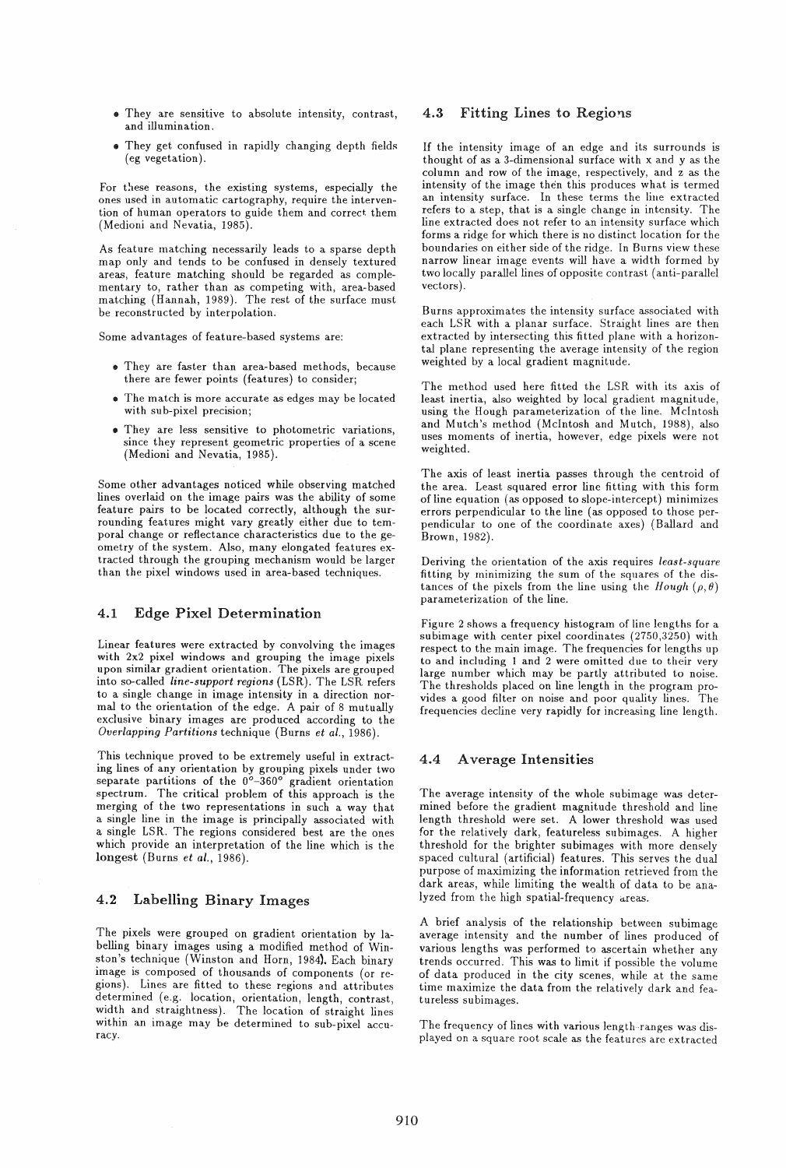- They are sensitive to absolute intensity, contrast, and illumination.
- They get confused in rapidly changing depth fields (eg vegetation).

For these reasons, the existing systems, especially the ones used in automatic cartography, require the intervention of human operators to guide them and correct them (Medioni and Nevatia, 1985).

As feature matching necessarily leads to a sparse depth map only and tends to be confused in densely textured areas, feature matching should be regarded as complementary to, rather than as competing with, area-based matching (Hannah, 1989). The rest of the surface must be reconstructed by interpolation.

Some advantages of feature-based systems are:

- $\bullet$  They are faster than area-based methods, because there are fewer points (features) to consider;
- The match is more accurate as edges may be located with sub-pixel precision;
- They are less sensitive to photometric variations, since they represent geometric properties of a scene (Medioni and Nevatia, 1985).

Some other advantages noticed while observing matched lines overlaid on the image pairs was the ability of some feature pairs to be located correctly, although the surrounding features might vary greatly either due to temporal change or reflectance characteristics due to the geometry of the system. Also, many elongated features extracted through the grouping mechanism would be larger than the pixel windows used in area-based techniques.

## 4.1 Edge Pixel Determination

Linear features were extracted by convolving the images with 2x2 pixel windows and grouping the image pixels upon similar gradient orientation. The pixels are grouped into so-called *line-support regions* (LSR). The LSR refers to a single change in image intensity in a direction normal to the orientation of the edge. A pair of 8 mutually exclusive binary images are produced according to the *Overlapping Partitions* technique (Burns *et al., 1986).* 

This technique proved to be extremely useful in extracting lines of any orientation by grouping pixels under two separate partitions of the *0°-360°* gradient orientation spectrum. The critical problem of this approach is the merging of the two representations in such a way that a single line in the image is principally associated with a single LSR. The regions considered best are the ones which provide an interpretation of the line which is the longest (Burns *et al., 1986).* 

### 4.2 Labelling Binary Images

The pixels were grouped on gradient orientation by labelling binary images using a modified method of Winston's technique (Winston and Horn, 1984). Each binary image is composed of thousands of components (or regions). Lines are fitted to these regions and attributes determined (e.g. location, orientation, length, contrast, width and straightness). The location of straight lines within an image may be determined to sub-pixel accu- racy.

### 4.3 Fitting Lines to Regions

If the intensity image of an edge and its surrounds is thought of as a 3-dimensional surface with x and y as the column and row of the image, respectively, and z as the intensity of the image then this produces what is termed an intensity surface. In these terms the line extracted refers to a step, that is a single change in intensity. The line extracted does not refer to an intensity surface which forms a ridge for which there is no distinct location for the boundaries on either side of the ridge. In Burns view these narrow linear image events will have a width formed by two locally parallel lines of opposite contrast (anti-parallel vectors ).

Burns approximates the intensity surface associated with each LSR with a planar surface. Straight lines are then extracted by intersecting this fitted plane with a horizontal plane representing the average intensity of the region weighted by a local gradient magnitude.

The method used here fitted the LSR with its axis of least inertia, also weighted by local gradient magnitude, using the Hough parameterization of the line. McIntosh and Mutch's method (McIntosh and Mutch, 1988), also uses moments of inertia, however, edge pixels were not weighted.

The axis of least inertia passes through the centroid of the area. Least squared error line fitting with this form of line equation (as opposed to slope-intercept) minimizes errors perpendicular to the line (as opposed to those perpendicular to one of the coordinate axes) (Ballard and Brown, 1982).

Deriving the orientation of the axis requires *least-square*  fitting by minimizing the sum of the squares of the distances of the pixels from the line using the *Hough*  $(\rho, \theta)$ parameterization of the line.

Figure 2 shows a frequency histogram of line lengths for a subimage with center pixel coordinates (2750,3250) with respect to the main image. The frequencies for lengths up to and including 1 and 2 were omitted due to their very large number which may be partly attributed to noise. The thresholds placed on line length in the program provides a good filter on noise and poor quality lines. The frequencies decline very rapidly for increasing line length.

### 4.4 A verage Intensities

The average intensity of the whole subimage was determined before the gradient magnitude threshold and line length threshold were set. A lower threshold was used for the relatively dark, featureless subimages. A higher threshold for the brighter subimages with more densely spaced cultural (artificial) features. This serves the dual purpose of maximizing the information retrieved from the dark areas, while limiting the wealth of data to be analyzed from the high spatial-frequency areas.

A brief analysis of the relationship between subimage average intensity and the number of lines produced of various lengths was performed to ascertain whether any trends occurred. This was to limit if possible the volume of data produced in the city scenes, while at the same time maximize the data from the relatively dark and featureless subimages.

The frequency of lines with various length-ranges was displayed on a square root scale as the features are extracted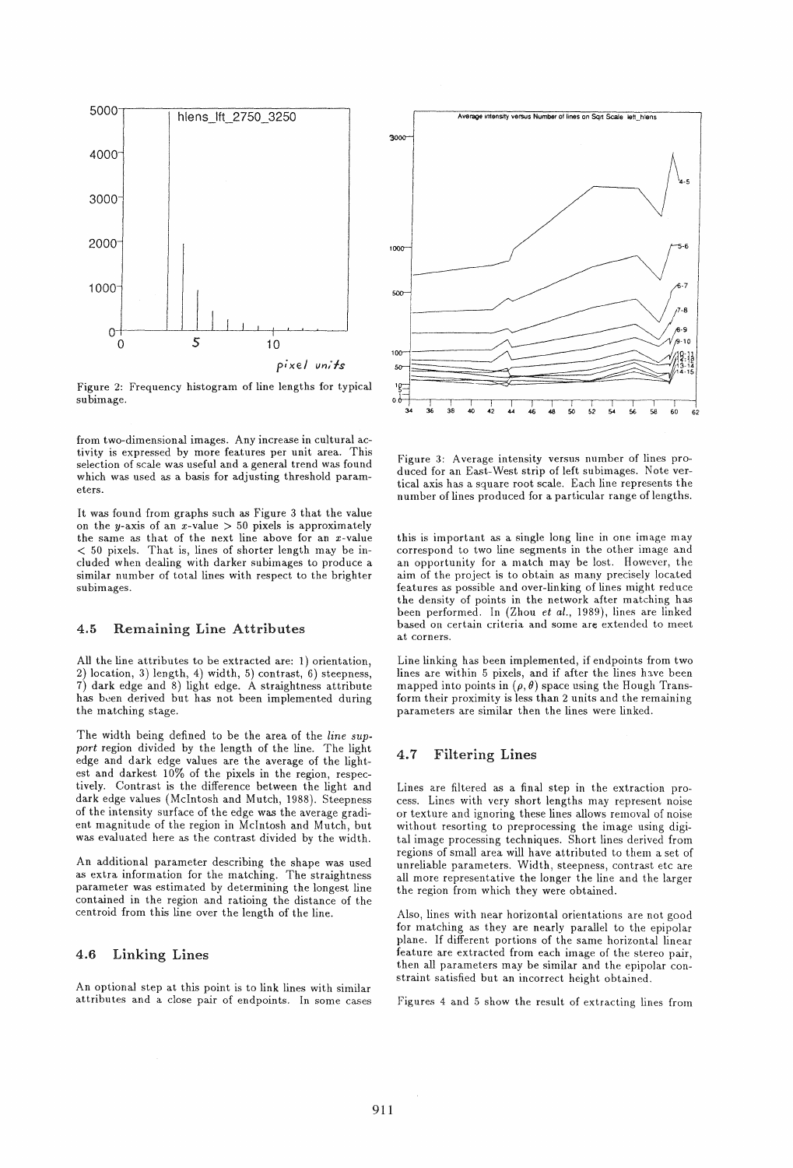

Figure 2: Frequency histogram of line lengths for typical subimage.

from two-dimensional images. Any increase in cultural activity is expressed by more features per unit area. This selection of scale was useful and a general trend was found which was used as a basis for adjusting threshold parameters.

It was found from graphs such as Figure 3 that the value on the y-axis of an  $x$ -value  $> 50$  pixels is approximately the same as that of the next line above for an x-value < 50 pixels. That is, lines of shorter length may be included when dealing with darker subimages to produce a similar number of total lines with respect to the brighter subimages.

#### 4.5 Remaining Line Attributes

All the line attributes to be extracted are: 1) orientation, 2) location, 3) length, 4) width, 5) contrast, 6) steepness, 7) dark edge and 8) light edge. A straightness attribute has been derived but has not been implemented during the matching stage.

The width being defined to be the area. of the *line sup*port region divided by the length of the line. The light edge and dark edge values are the average of the lightest and darkest 10% of the pixels in the region, respectively. Contrast is the difference between the light and dark edge values (Mclntosh and Mutch, 1988). Steepness of the intensity surface of the edge was the average gradient magnitude of the region in McIntosh and Mutch, but was evaluated here as the contrast divided by the width.

An additional parameter describing the shape was used as extra information for the matching. The straightness parameter was estimated by determining the longest line contained in the region and ratioing the distance of the centroid from this line over the length of the Jine.

## 4.6 Linking Lines

An optional step at this point is to link lines with similar attributes and a close pair of endpoints. In some cases



Figure 3: Average intensity versus number of lines produced for an East-West strip of left subimages. Note vertical axis has a square root scale. Each line represents the number of lines produced for a particular range of lengths.

this is important as a single long line in one image may correspond to two line segments in the other image and an opportunity for a match may be lost. However, the aim of the project is to obtain as many precisely located features as possible and over-linking of lines might reduce the density of points in the network after matching has been performed. In (Zhou *et al.*, 1989), lines are linked based on certain criteria and some are extended to meet at corners.

Line linking has been implemented, if endpoints from two lines are within 5 pixels, and if after the lines have been mapped into points in  $(\rho, \theta)$  space using the Hough Transform their proximity is less than 2 units and the remaining parameters are similar then the lines were linked.

### 4.7 Filtering Lines

Lines are filtered as a final step in the extraction process. Lines with very short lengths may represent noise or texture and ignoring, these lines allows removal of noise without resorting to preprocessing the image using digital image processing techniques. Short lines derived from regions of small area will have attributed to them a set of unreliable parameters. Width, steepness, contrast etc are all more representative the longer the line and the larger the region from which they were obtained.

Also, lines with near horizontal orientations are not good for matching as they are nearly parallel to the epipolar plane. If different portions of the same horizontal linear feature are extracted from each image of the stereo pair, then all parameters may be similar and the epipolar constraint satisfied but an incorrect height obtained.

Figures 4 and 5 show the result of extracting lines from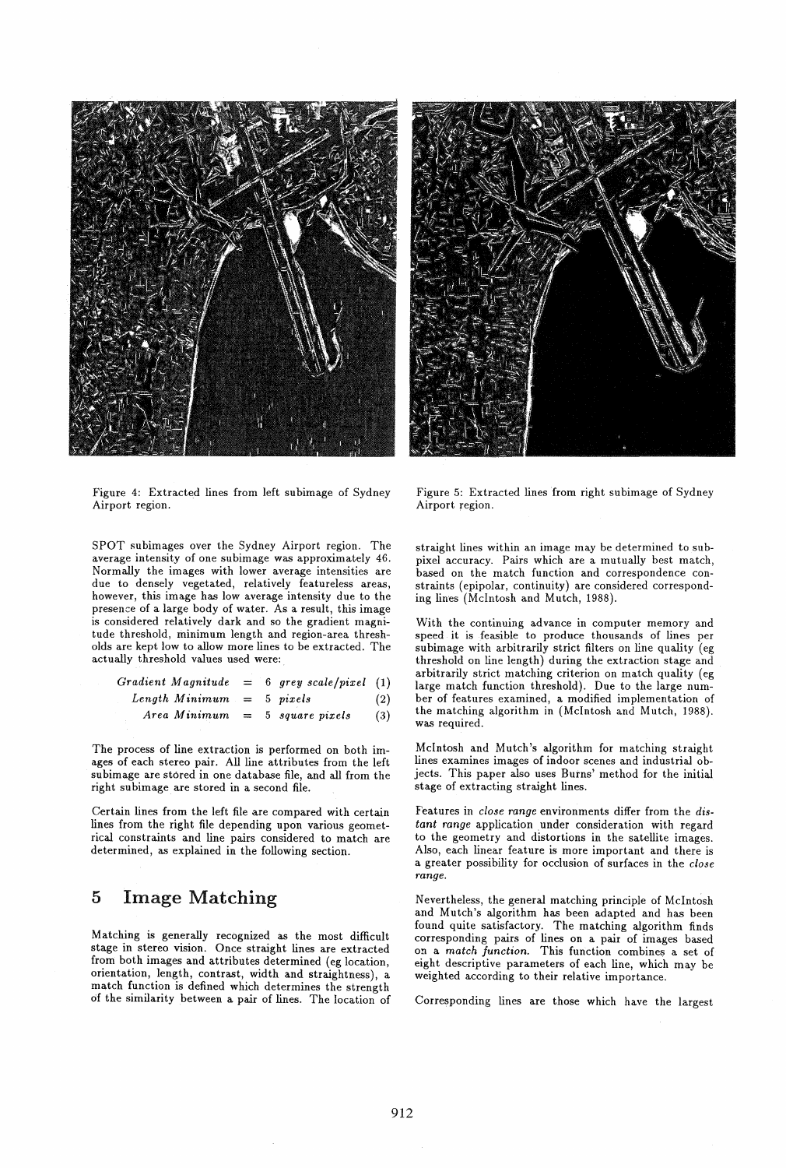



Figure 4: Extracted lines from left subimage of Sydney Airport region.

SPOT subimages over the Sydney Airport region. The average intensity of one subimage was approximately 46. Normally the images with lower average intensities are due to densely vegetated, relatively featureless areas, however, this image has low average intensity due to the presence of a large body of water. As a result, this image is considered relatively dark and so the gradient magnitude threshold, minimum length and region-area thresholds are kept low to allow more lines to be extracted. The actually threshold values used were:

|  |                             |  | Gradient Magnitude = 6 grey scale/pixel $(1)$ |     |
|--|-----------------------------|--|-----------------------------------------------|-----|
|  | Length Minimum $= 5$ pixels |  |                                               | (2) |
|  |                             |  | $Area\ Minimum = 5\ square\ pixels$           | (3) |

The process of line extraction is performed on both images of each stereo pair. All line attributes from the left subimage are stored in one database file, and all from the right subimage are stored in a second file.

Certain lines from the left file are compared with certain lines from the right file depending upon various geometrical constraints and line pairs considered to match are determined, as explained in the following section.

## 5 Image Matching

Matching is generally recognized as the most difficult stage in stereo vision. Once straight lines are extracted from both images and attributes determined (eg location, orientation, length, contrast, width and straightness), a match function is defined which determines the strength of the similarity between a pair of lines. The location of

Figure 5: Extracted lines from right subimage of Sydney Airport region.

straight lines within an image may be determined to subpixel accuracy. Pairs which are a mutually best match, based on the match function and correspondence constraints (epipolar, continuity) are considered corresponding lines (McIntosh and Mutch, 1988).

With the continuing advance in computer memory and speed it is feasible to produce thousands of lines per subimage with arbitrarily strict filters on line quality (eg threshold on line length) during the extraction stage and arbitrarily strict matching criterion on match quality (eg large match function threshold). Due to the large number of features examined, a modified implementation of the matching algorithm in (McIntosh and Mutch, 1988). was required.

McIntosh and Mutch's algorithm for matching straight lines examines images of indoor scenes and industrial objects. This paper also uses Burns' method for the initial stage of extracting straight lines.

Features in *close range* environments differ from the *dis*tant range application under consideration with regard to the geometry and distortions in the satellite images. Also, each linear feature is more important and there is a greater possibility for occlusion of surfaces in the *close*  range.

Nevertheless, the general matching principle of McIntosh and Mutch's algorithm has been adapted and has been found quite satisfactory. The matching algorithm finds corresponding pairs of lines on a pair of images based on a *match function.* This function combines a set of eight descriptive parameters of each line, which may be weighted according to their relative importance.

Corresponding lines are those which have the largest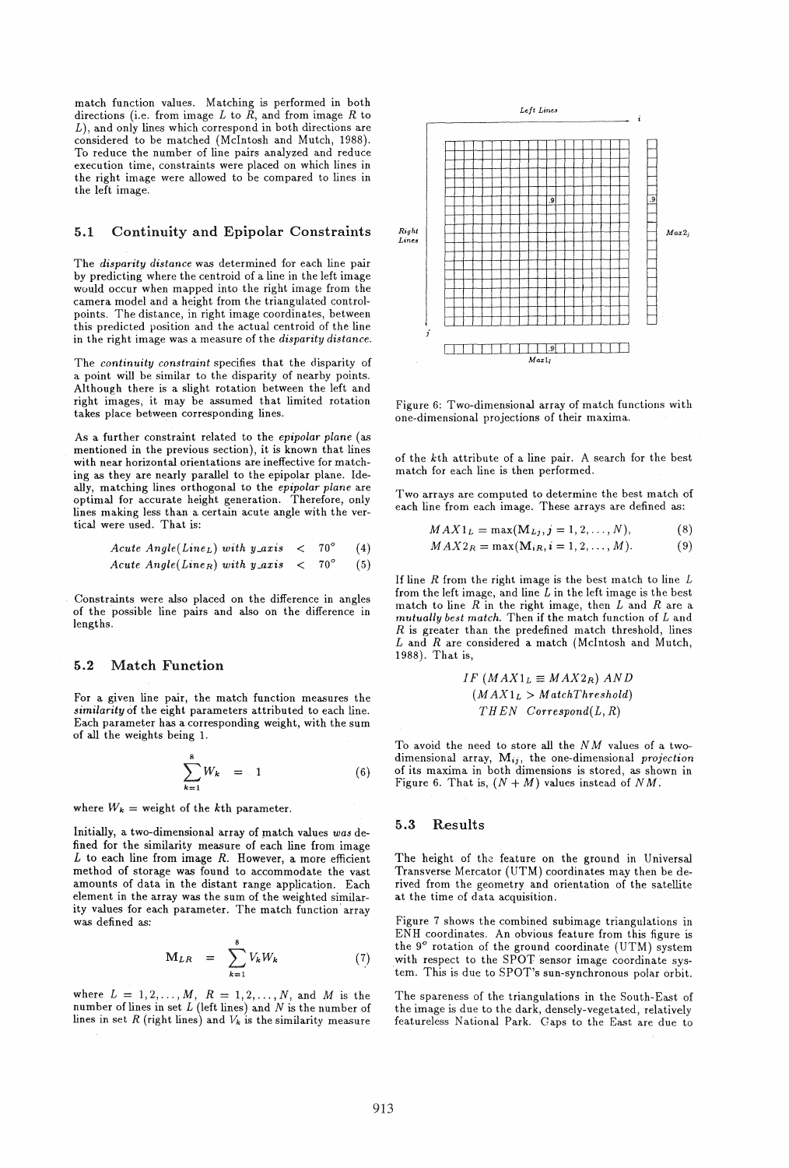match function values. Matching is performed in both directions (i.e. from image L to  $\tilde{R}$ , and from image R to *L),* and only lines which correspond in both directions are considered to be matched (McIntosh and Mutch, 1988). To reduce the number of line pairs analyzed and reduce execution time, constraints were placed on which lines in the right image were allowed to be compared to lines in the left image.

### 5.1 Continuity and Epipolar Constraints

The *disparity distance* was determined for each line pair by predicting where the centroid of a line in the left image would occur when mapped into the right image from the camera model and a height from the triangulated controlpoints. The distance, in right image coordinates, between this predicted position and the actual centroid of the line in the right image was a measure of the *disparity distance.* 

The *continuity constraint* specifies that the disparity of a point will be similar to the disparity of nearby points. Although there is a slight rotation between the left and right images, it may be assumed that limited rotation takes place between corresponding lines.

As a further constraint related to the *epipolar plane* (as mentioned in the previous section), it is known that lines with near horizontal orientations are ineffective for matching as they are nearly parallel to the epipolar plane. Ideally, matching lines orthogonal to the *epipolar plane* are optimal for accurate height generation. Therefore, only lines making less than a certain acute angle with the vertical were used. That is:

*Acute Angle*(*Line<sub>L</sub>*) with 
$$
y\_axis
$$
  $< 70^{\circ}$  (4)  
*Acute Angle*(*Line<sub>R</sub>*) with  $y\_axis$   $< 70^{\circ}$  (5)

Constraints were also placed on the difference in angles of the possible line pairs and also on the difference in lengths.

#### 5.2 Match Function

For a given line pair, the match function measures the *similarity* of the eight parameters attributed to each line. Each parameter has a corresponding weight, with the sum of all the weights being 1.

$$
\sum_{k=1}^{8} W_k = 1 \tag{6}
$$

where  $W_k$  = weight of the kth parameter.

Initially, a two-dimensional array of match values was defined for the similarity measure of each line from image *L* to each line from image *R.* However, a more efficient method of storage was found to accommodate the vast amounts of data in the distant range application. Each element in the array was the sum of the weighted similarity values for each parameter. The match function' array was defined as:

$$
\mathbf{M}_{LR} = \sum_{k=1}^{8} V_k W_k \tag{7}
$$

where  $L = 1, 2, ..., M, R = 1, 2, ..., N$ , and M is the number of lines in set  $L$  (left lines) and  $N$  is the number of lines in set  $R$  (right lines) and  $V_k$  is the similarity measure



Figure 6: Two-dimensional array of match functions with one-dimensional projections of their maxima.

of the kth attribute of a line pair. A search for the best match for each line is then performed.

Two arrays are computed to determine the best match of each line from each image. These arrays are defined as:

$$
MAX1_L = \max(M_{Lj}, j = 1, 2, ..., N),
$$
 (8)

$$
MAX2_R = \max(\mathbf{M}_{iR}, i = 1, 2, \dots, M). \tag{9}
$$

If line  $R$  from the right image is the best match to line  $L$ from the left image, and line  $L$  in the left image is the best match to line *R* in the right image, then Land *R* are a *mutually best match.* Then if the match function of Land  $R$  is greater than the predefined match threshold, lines Land *R* are considered a match (Mclntosh and Mutch, 1988). That is,

$$
IF (MAX1L \equiv MAX2R) AND
$$
  
(MAX1<sub>L</sub> > MatchThreshold)  
THEN Correspond(L, R)

To avoid the need to store all the *N M* values of a twodimensional array, Mij, the one-dimensional *projection*  of its maxima in both dimensions is stored, as shown in Figure 6. That is,  $(N + M)$  values instead of NM.

#### 5.3 Results

The height of the feature on the ground in Universal Transverse Mercator (UTM) coordinates may then be derived from the geometry and orientation of the satellite at the time of data acquisition.

Figure 7 shows the combined subimage triangulations in ENH coordinates. An obvious feature from this figure is the 9° rotation of the ground coordinate (UTM) system with respect to the SPOT sensor image coordinate system. This is due to SPOT's sun-synchronous polar orbit.

The spareness of the triangulations in the South-East of the image is due to the dark, densely-vegetated, relatively featureless National Park. Gaps to the East are due to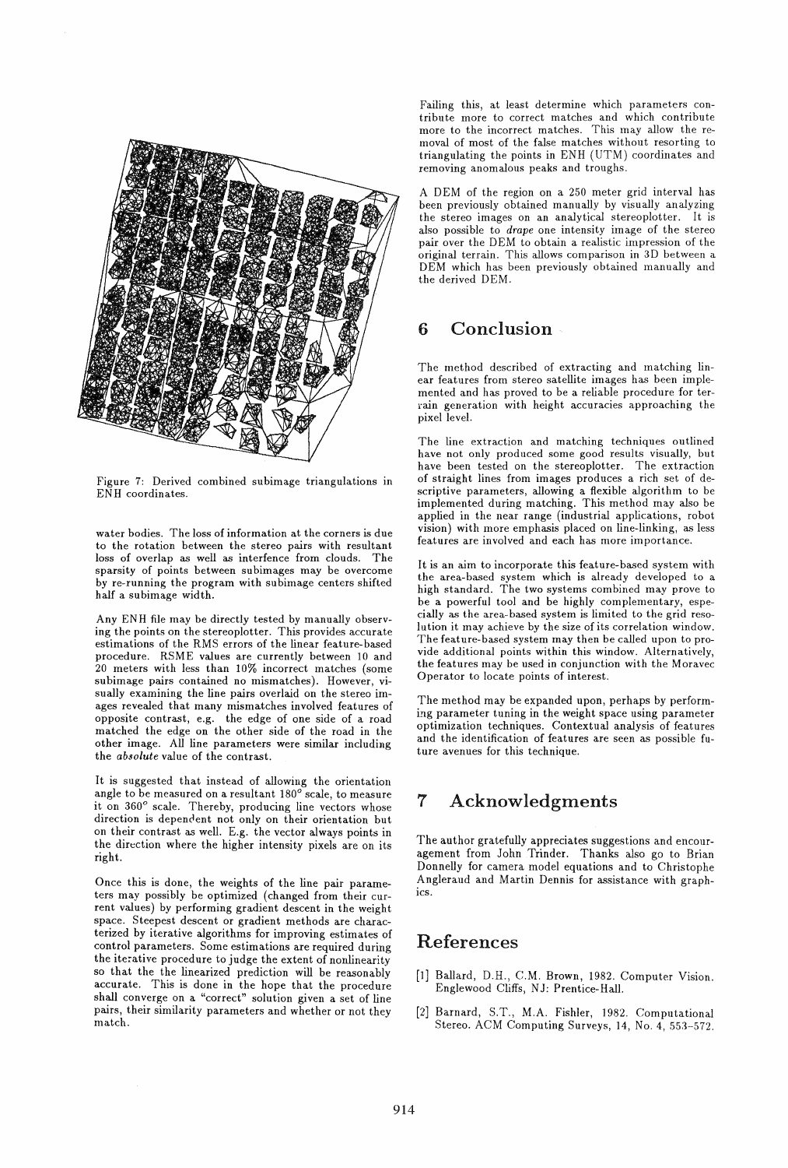

Figure 7: Derived combined subimage triangulations in ENH coordinates.

water bodies. The loss of information at the corners is due to the rotation between the stereo pairs with resultant loss of overlap as well as interfence from clouds. The sparsity of points between subimages may be overcome by re-running the program with subimage centers shifted half a subimage width.

Any ENH file may be directly tested by manually observing the points on the stereoplotter. This provides accurate estimations of the RMS errors of the linear feature-based procedure. RSME values are currently between 10 and 20 meters with less than 10% incorrect matches (some subimage pairs contained no mismatches). However, visually examining the line pairs overlaid on the stereo images revealed that many mismatches involved features of opposite contrast, e.g. the edge of one side of a road matched the edge on the other side of the road in the other image. All line parameters were similar including the *absolute* value of the contrast.

It is suggested that instead of allowing the orientation angle to be measured on a resultant  $180^\circ$  scale, to measure it on 360° scale. Thereby, producing line vectors whose direction is dependent not only on their orientation but on their contrast as well. E.g. the vector always points in the direction where the higher intensity pixels are on its right.

Once this is done, the weights of the line pair parameters may possibly be optimized (changed from their current values) by performing gradient descent in the weight space. Steepest descent or gradient methods are characterized by iterative algorithms for improving estimates of control parameters. Some estimations are required during the iterative procedure to judge the extent of nonlinearity so that the the linearized prediction will be reasonably accurate. This is done in the hope that the procedure shall converge on a "correct" solution given a set of line pairs, their similarity parameters and whether or not they match.

Failing this, at least determine which parameters contribute more to correct matches and which contribute more to the incorrect matches. This may allow the removal of most of the false matches without resorting to triangulating the points in ENH (UTM) coordinates and removing anomalous peaks and troughs.

A DEM of the region on a 250 meter grid interval has been previously obtained manually by visually analyzing the stereo images on an analytical stereoplotter. It is also possible to *drape* one intensity image of the stereo pair over the DEM to obtain a realistic impression of the original terrain. This allows comparison in 3D between a DEM which has been previously obtained manually and the derived DEM.

# 6 Conclusion

The method described of extracting and matching linear features from stereo satellite images has been implemented and has proved to be a reliable procedure for terrain generation with height accuracies approaching the pixel level.

The line extraction and matching techniques outlined have not only produced some good results visually, but have been tested on the stereoplotter. The extraction of straight lines from images produces a rich set of descriptive parameters, allowing a flexible algorithm to be implemented during matching. This method may also be applied in the near range (industrial applications, robot vision) with more emphasis placed on line-linking, as less features are involved and each has more importance.

It is an aim to incorporate this feature-based system with the area-based system which is already developed to a high standard. The two systems combined may prove to be a powerful tool and be highly complementary, especially as the area-based system is limited to the grid resolution it may achieve by the size of its correlation window. The feature-based system may then be called upon to provide additional points within this window. Alternatively, the features may be used in conjunction with the Moravec Operator to locate points of interest.

The method may be expanded upon, perhaps by performing parameter tuning in the weight space using parameter optimization techniques. Contextual analysis of features and the identification of features are seen as possible future avenues for this technique.

# 7 Acknowledgments

The author gratefully appreciates suggestions and encouragement from John Trinder. Thanks also go to Brian Donnelly for camera model equations and to Christophe Angleraud and Martin Dennis for assistance with graphics.

# References

- [lJ Ballard, D.H., C.M. Brown, 1982. Computer Vision. Englewood Cliffs, NJ: Prentice-Hall.
- [2J Barnard, S.T., M.A. FishIer, 1982. Computational Stereo. ACM Computing Surveys, 14, No.4, 553-572.